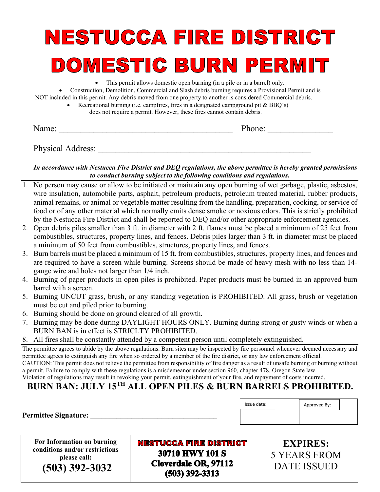# NESTUCCA FIRE DISTRICT DOMESTIC BURN PERMIT

• This permit allows domestic open burning (in a pile or in a barrel) only.

• Construction, Demolition, Commercial and Slash debris burning requires a Provisional Permit and is NOT included in this permit. Any debris moved from one property to another is considered Commercial debris.

> • Recreational burning (i.e. campfires, fires in a designated campground pit & BBQ's) does not require a permit. However, these fires cannot contain debris.

Name: \_\_\_\_\_\_\_\_\_\_\_\_\_\_\_\_\_\_\_\_\_\_\_\_\_\_\_\_\_\_\_\_\_\_\_\_\_\_\_\_ Phone: \_\_\_\_\_\_\_\_\_\_\_\_\_\_\_

Physical Address:

#### *In accordance with Nestucca Fire District and DEQ regulations, the above permittee is hereby granted permissions to conduct burning subject to the following conditions and regulations.*

- 1. No person may cause or allow to be initiated or maintain any open burning of wet garbage, plastic, asbestos, wire insulation, automobile parts, asphalt, petroleum products, petroleum treated material, rubber products, animal remains, or animal or vegetable matter resulting from the handling, preparation, cooking, or service of food or of any other material which normally emits dense smoke or noxious odors. This is strictly prohibited by the Nestucca Fire District and shall be reported to DEQ and/or other appropriate enforcement agencies.
- 2. Open debris piles smaller than 3 ft. in diameter with 2 ft. flames must be placed a minimum of 25 feet from combustibles, structures, property lines, and fences. Debris piles larger than 3 ft. in diameter must be placed a minimum of 50 feet from combustibles, structures, property lines, and fences.
- 3. Burn barrels must be placed a minimum of 15 ft. from combustibles, structures, property lines, and fences and are required to have a screen while burning. Screens should be made of heavy mesh with no less than 14 gauge wire and holes not larger than 1/4 inch.
- 4. Burning of paper products in open piles is prohibited. Paper products must be burned in an approved burn barrel with a screen.
- 5. Burning UNCUT grass, brush, or any standing vegetation is PROHIBITED. All grass, brush or vegetation must be cut and piled prior to burning.
- 6. Burning should be done on ground cleared of all growth.
- 7. Burning may be done during DAYLIGHT HOURS ONLY. Burning during strong or gusty winds or when a BURN BAN is in effect is STRICLTY PROHIBITED.
- 8. All fires shall be constantly attended by a competent person until completely extinguished.

The permittee agrees to abide by the above regulations. Burn sites may be inspected by fire personnel whenever deemed necessary and permittee agrees to extinguish any fire when so ordered by a member of the fire district, or any law enforcement official. CAUTION: This permit does not relieve the permittee from responsibility of fire danger as a result of unsafe burning or burning without

a permit. Failure to comply with these regulations is a misdemeanor under section 960, chapter 478, Oregon State law. Violation of regulations may result in revoking your permit, extinguishment of your fire, and repayment of costs incurred.

## **BURN BAN: JULY 15TH ALL OPEN PILES & BURN BARRELS PROHIBITED.**

Permittee Signature:

**For Information on burning conditions and/or restrictions please call:**

 **(503) 392-3032**

**NESTUCCA FIRE DISTRICT** 30710 HWY 101 S **Cloverdale OR, 97112**  $(503)$  392-3313

Issue date:  $\begin{vmatrix} \cdot & \cdot & \cdot \\ \cdot & \cdot & \cdot \\ \cdot & \cdot & \cdot \end{vmatrix}$  Approved By:

**EXPIRES:** 5 YEARS FROM DATE ISSUED